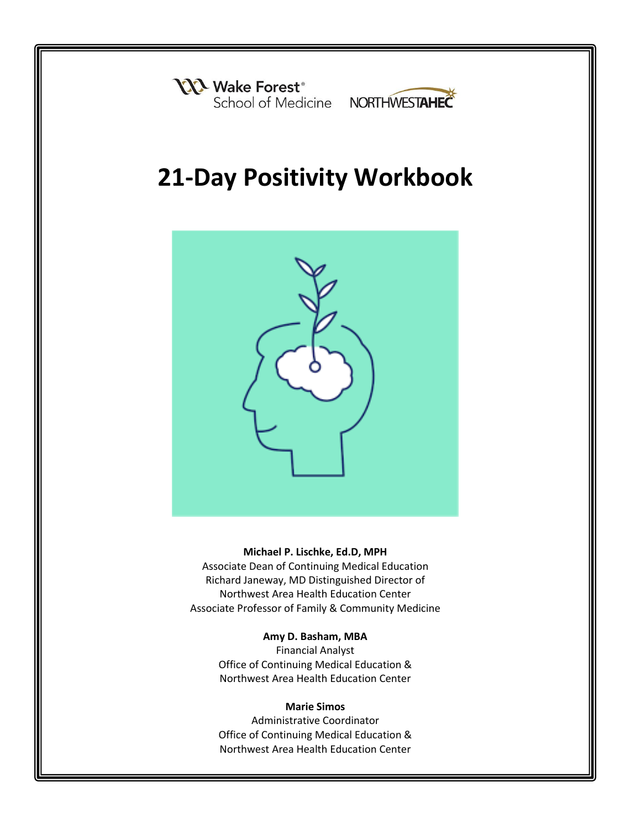



# **21-Day Positivity Workbook**



#### **Michael P. Lischke, Ed.D, MPH**

Associate Dean of Continuing Medical Education Richard Janeway, MD Distinguished Director of Northwest Area Health Education Center Associate Professor of Family & Community Medicine

#### **Amy D. Basham, MBA**

Financial Analyst Office of Continuing Medical Education & Northwest Area Health Education Center

#### **Marie Simos**

Administrative Coordinator Office of Continuing Medical Education & Northwest Area Health Education Center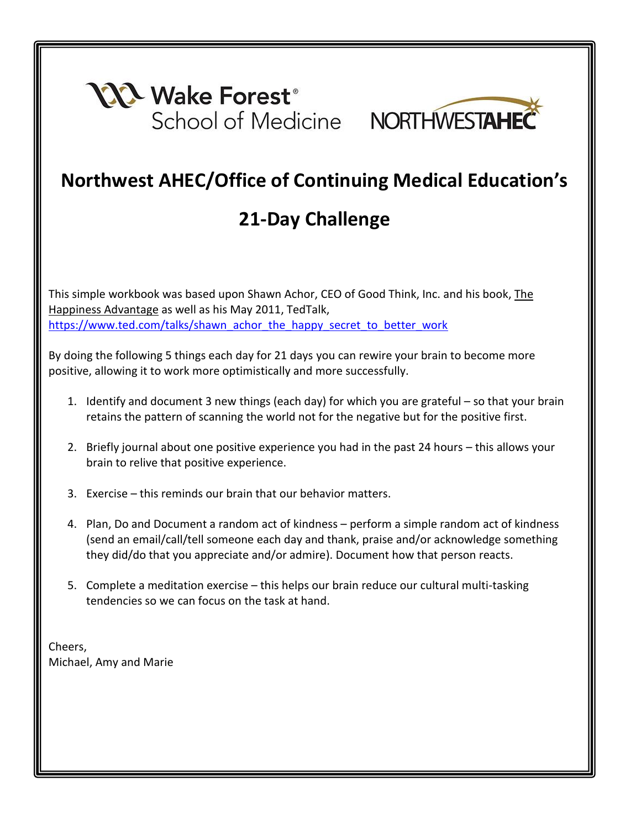



### **Northwest AHEC/Office of Continuing Medical Education's**

## **21-Day Challenge**

This simple workbook was based upon Shawn Achor, CEO of Good Think, Inc. and his book, The Happiness Advantage as well as his May 2011, TedTalk, [https://www.ted.com/talks/shawn\\_achor\\_the\\_happy\\_secret\\_to\\_better\\_work](https://www.ted.com/talks/shawn_achor_the_happy_secret_to_better_work)

By doing the following 5 things each day for 21 days you can rewire your brain to become more positive, allowing it to work more optimistically and more successfully.

- 1. Identify and document 3 new things (each day) for which you are grateful so that your brain retains the pattern of scanning the world not for the negative but for the positive first.
- 2. Briefly journal about one positive experience you had in the past 24 hours this allows your brain to relive that positive experience.
- 3. Exercise this reminds our brain that our behavior matters.
- 4. Plan, Do and Document a random act of kindness perform a simple random act of kindness (send an email/call/tell someone each day and thank, praise and/or acknowledge something they did/do that you appreciate and/or admire). Document how that person reacts.
- 5. Complete a meditation exercise this helps our brain reduce our cultural multi-tasking tendencies so we can focus on the task at hand.

Cheers, Michael, Amy and Marie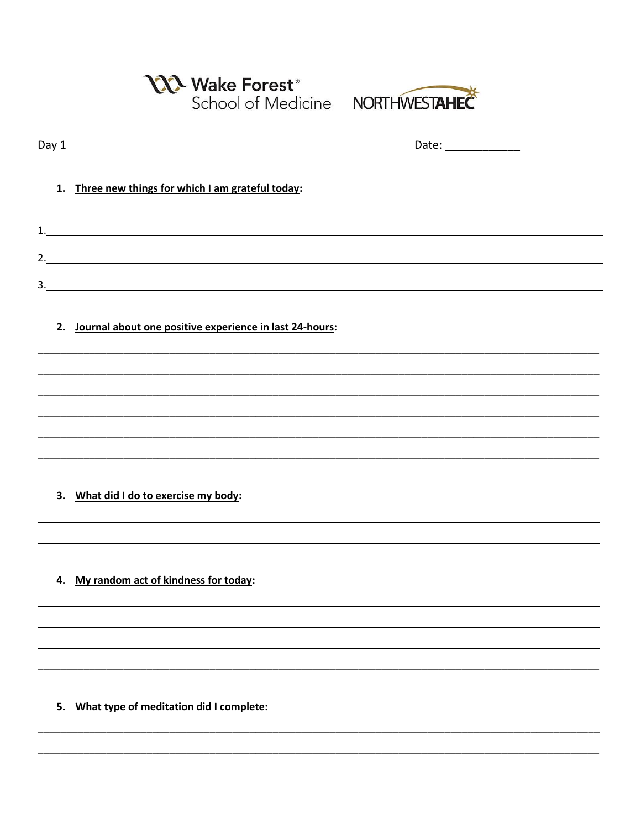|       | N Wake Forest <sup>®</sup><br>School of Medicine NORTHWESTAHEC |  |
|-------|----------------------------------------------------------------|--|
| Day 1 |                                                                |  |
|       | 1. Three new things for which I am grateful today:             |  |
|       |                                                                |  |
|       | 2.                                                             |  |
|       | 2. Journal about one positive experience in last 24-hours:     |  |
|       | 3. What did I do to exercise my body:                          |  |
|       | 4. My random act of kindness for today:                        |  |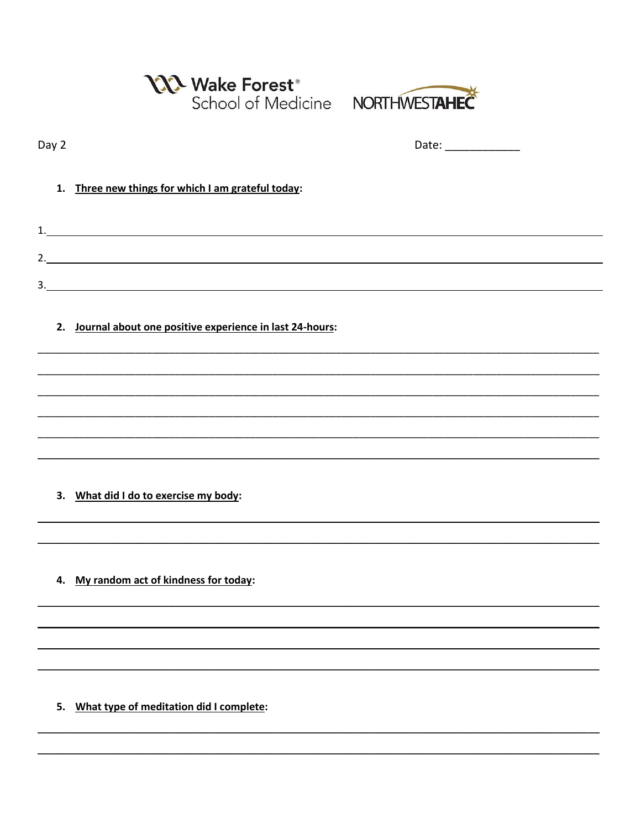|       | Wake Forest <sup>®</sup><br>School of Medicine NORTHWESTAHEC |  |
|-------|--------------------------------------------------------------|--|
| Day 2 |                                                              |  |
|       | 1. Three new things for which I am grateful today:           |  |
|       | 1.                                                           |  |
|       | 2.                                                           |  |
|       | 2. Journal about one positive experience in last 24-hours:   |  |
|       | 3. What did I do to exercise my body:                        |  |
|       | 4. My random act of kindness for today:                      |  |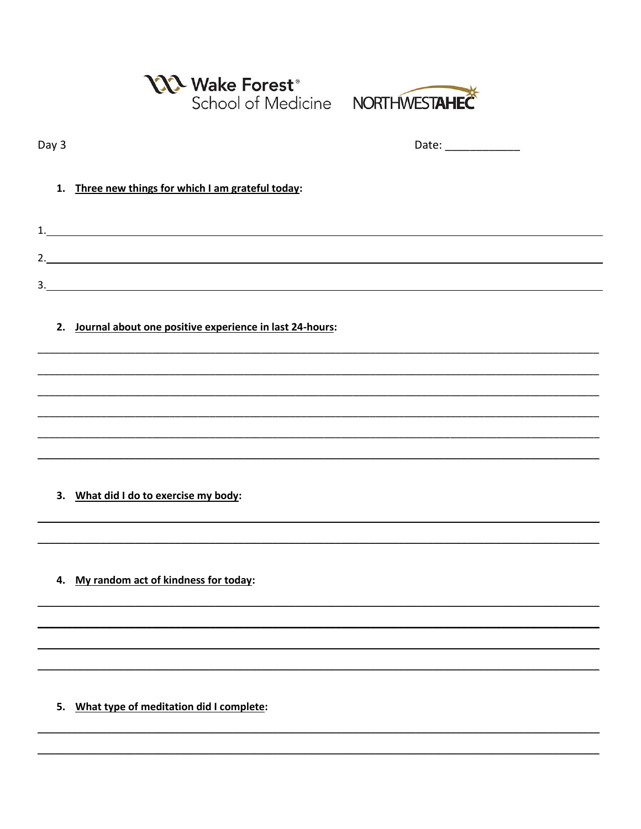|       | N Wake Forest <sup>®</sup><br>School of Medicine NORTHWESTAHEC |  |
|-------|----------------------------------------------------------------|--|
| Day 3 |                                                                |  |
|       | 1. Three new things for which I am grateful today:             |  |
|       |                                                                |  |
|       | 2.                                                             |  |
|       | 2. Journal about one positive experience in last 24-hours:     |  |
|       |                                                                |  |
|       |                                                                |  |
|       | 3. What did I do to exercise my body:                          |  |
|       | 4. My random act of kindness for today:                        |  |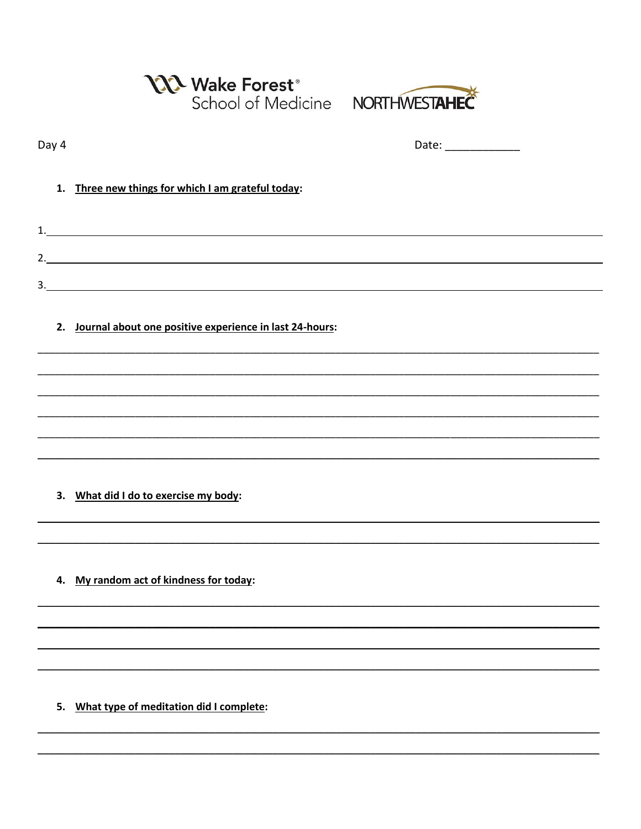|       | N Wake Forest <sup>®</sup><br>School of Medicine NORTHWESTAHEC |                       |
|-------|----------------------------------------------------------------|-----------------------|
| Day 4 |                                                                | Date: _______________ |
|       | 1. Three new things for which I am grateful today:             |                       |
|       |                                                                |                       |
|       | 2.<br>3.                                                       |                       |
|       | 2. Journal about one positive experience in last 24-hours:     |                       |
|       |                                                                |                       |
|       |                                                                |                       |
|       | 3. What did I do to exercise my body:                          |                       |
|       | 4. My random act of kindness for today:                        |                       |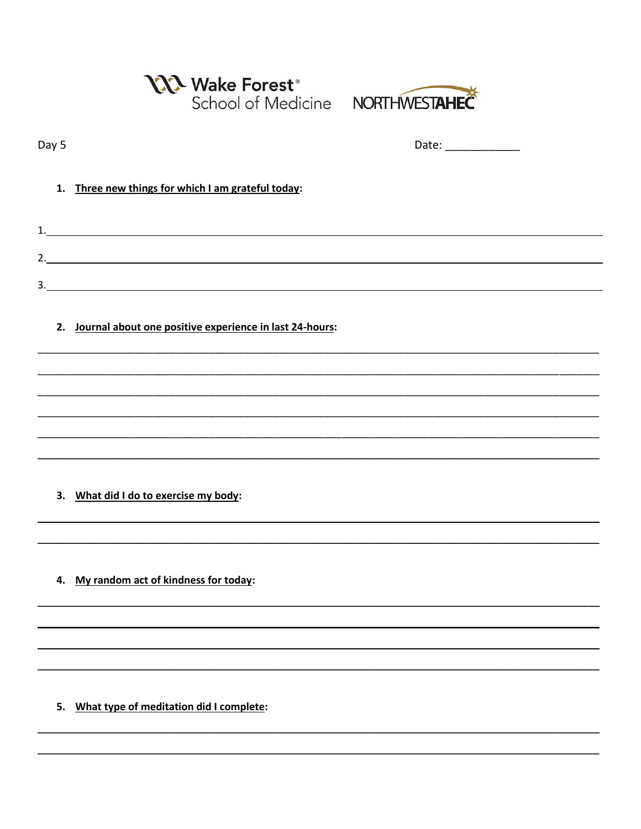|       | Newake Forest <sup>®</sup><br>School of Medicine NORTHWESTAHEC |  |
|-------|----------------------------------------------------------------|--|
| Day 5 |                                                                |  |
| 1.    | Three new things for which I am grateful today:                |  |
|       | 1.                                                             |  |
|       |                                                                |  |
|       | 2. Journal about one positive experience in last 24-hours:     |  |
|       |                                                                |  |
|       |                                                                |  |
| 3.    | What did I do to exercise my body:                             |  |
|       | 4. My random act of kindness for today:                        |  |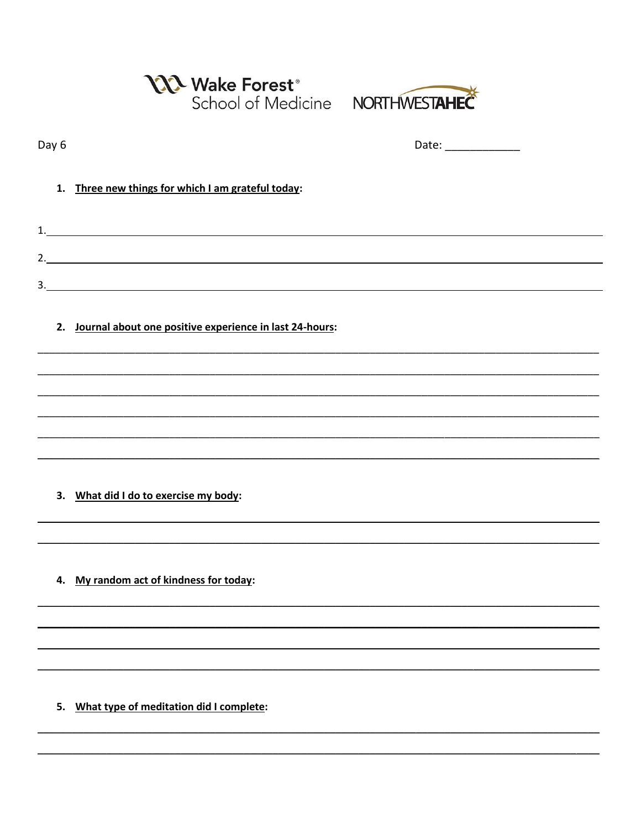|       | <b>N</b> Wake Forest <sup>®</sup><br>School of Medicine NORTHWESTAHEC |                     |
|-------|-----------------------------------------------------------------------|---------------------|
| Day 6 |                                                                       | Date: _____________ |
| 1.    | Three new things for which I am grateful today:                       |                     |
|       |                                                                       |                     |
|       | 2.                                                                    |                     |
|       | 2. Journal about one positive experience in last 24-hours:            |                     |
|       |                                                                       |                     |
|       | 3. What did I do to exercise my body:                                 |                     |
|       |                                                                       |                     |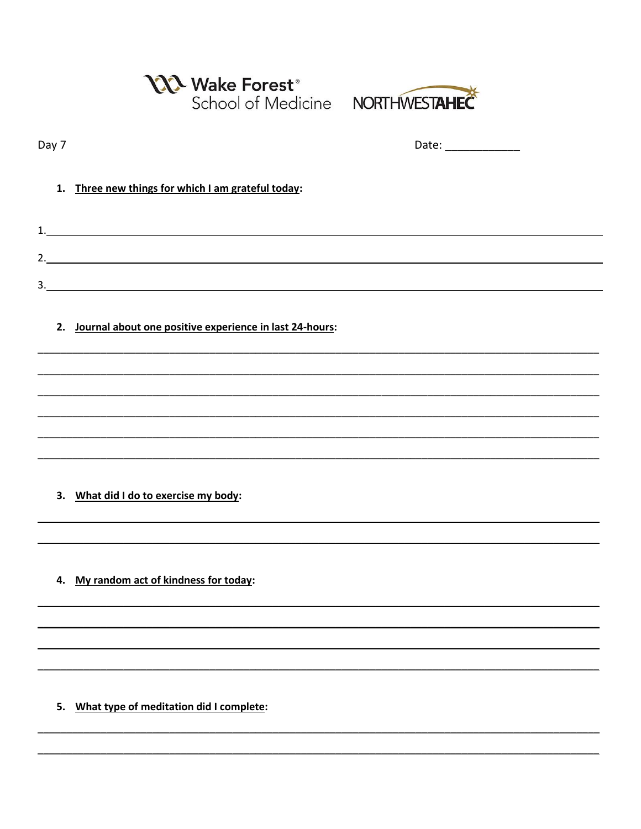|       | N Wake Forest <sup>®</sup><br>School of Medicine NORTHWESTAHEC                                 |                      |
|-------|------------------------------------------------------------------------------------------------|----------------------|
| Day 7 |                                                                                                | Date: ______________ |
|       | 1. Three new things for which I am grateful today:                                             |                      |
|       | $\begin{array}{c} \n \begin{array}{c} \n 1. & \longrightarrow & \n \end{array} \n \end{array}$ |                      |
|       | 3.                                                                                             |                      |
|       | 2. Journal about one positive experience in last 24-hours:                                     |                      |
|       |                                                                                                |                      |
|       |                                                                                                |                      |
|       | 3. What did I do to exercise my body:                                                          |                      |
|       | 4. My random act of kindness for today:                                                        |                      |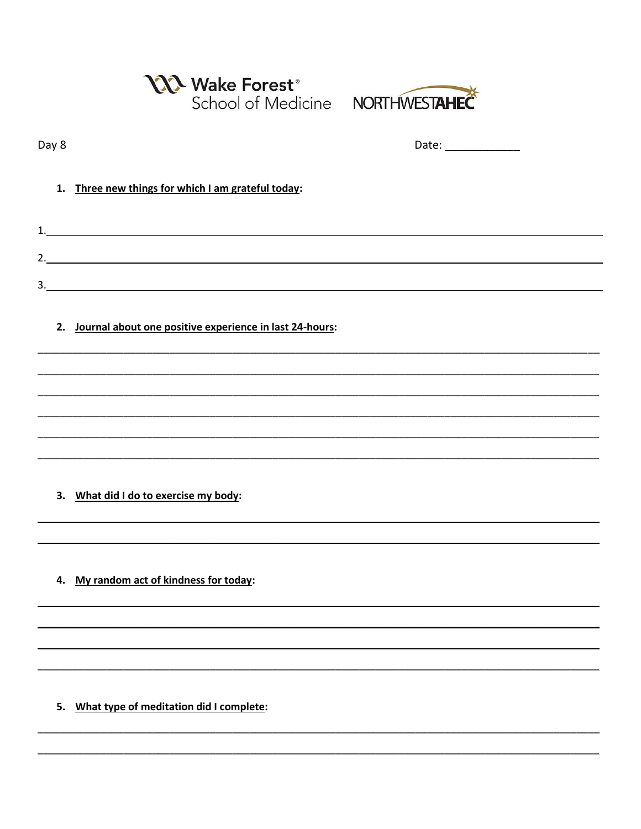|       | <b>NA Wake Forest</b> ®<br>School of Medicine NORTHWESTAHEC |  |
|-------|-------------------------------------------------------------|--|
| Day 8 |                                                             |  |
| 1.    | Three new things for which I am grateful today:             |  |
|       |                                                             |  |
|       |                                                             |  |
|       |                                                             |  |
|       | 2. Journal about one positive experience in last 24-hours:  |  |
|       |                                                             |  |
|       |                                                             |  |
|       |                                                             |  |
|       |                                                             |  |
|       | 3. What did I do to exercise my body:                       |  |
|       |                                                             |  |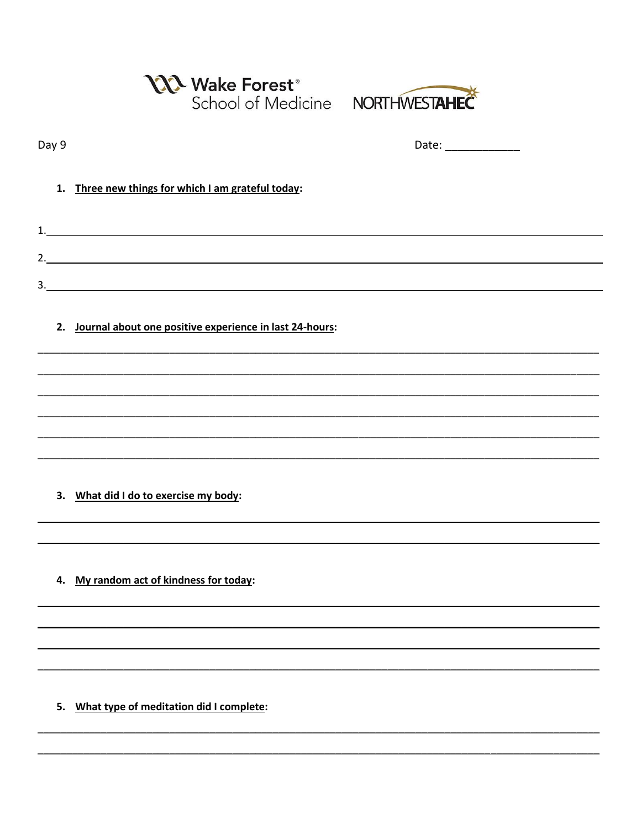|       | Wake Forest <sup>®</sup><br>School of Medicine NORTHWESTAHEC |                       |
|-------|--------------------------------------------------------------|-----------------------|
| Day 9 |                                                              | Date: _______________ |
| 1.    | Three new things for which I am grateful today:              |                       |
|       |                                                              |                       |
|       | 2.                                                           |                       |
|       |                                                              |                       |
|       | 2. Journal about one positive experience in last 24-hours:   |                       |
|       |                                                              |                       |
|       |                                                              |                       |
|       |                                                              |                       |
|       | 3. What did I do to exercise my body:                        |                       |
|       |                                                              |                       |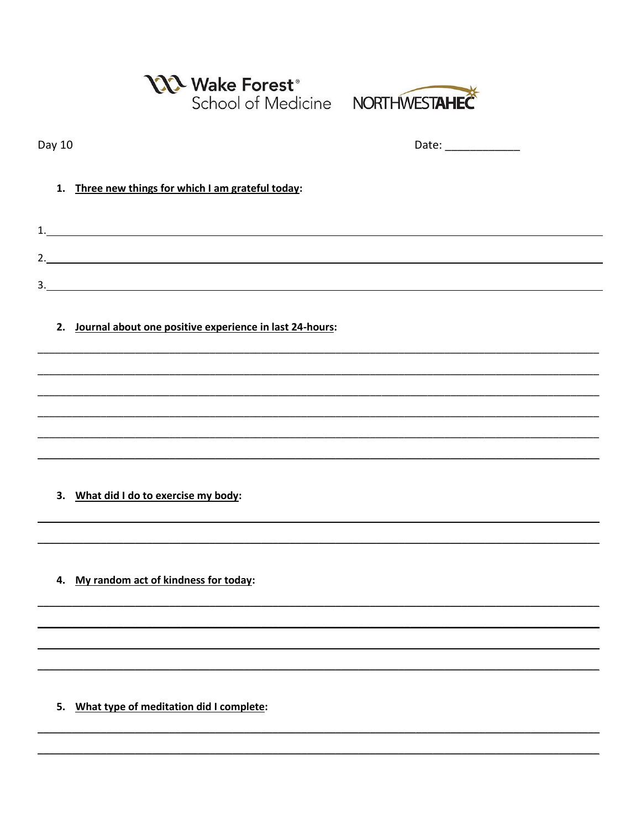|        | <b>N</b> Wake Forest <sup>®</sup><br>School of Medicine NORTHWESTAHEC |                     |  |
|--------|-----------------------------------------------------------------------|---------------------|--|
| Day 10 |                                                                       | Date: _____________ |  |
| 1.     | Three new things for which I am grateful today:                       |                     |  |
|        |                                                                       |                     |  |
|        | 2.                                                                    |                     |  |
|        |                                                                       |                     |  |
| 2.     | Journal about one positive experience in last 24-hours:               |                     |  |
|        |                                                                       |                     |  |
|        |                                                                       |                     |  |
|        |                                                                       |                     |  |
|        |                                                                       |                     |  |
|        |                                                                       |                     |  |

4. My random act of kindness for today: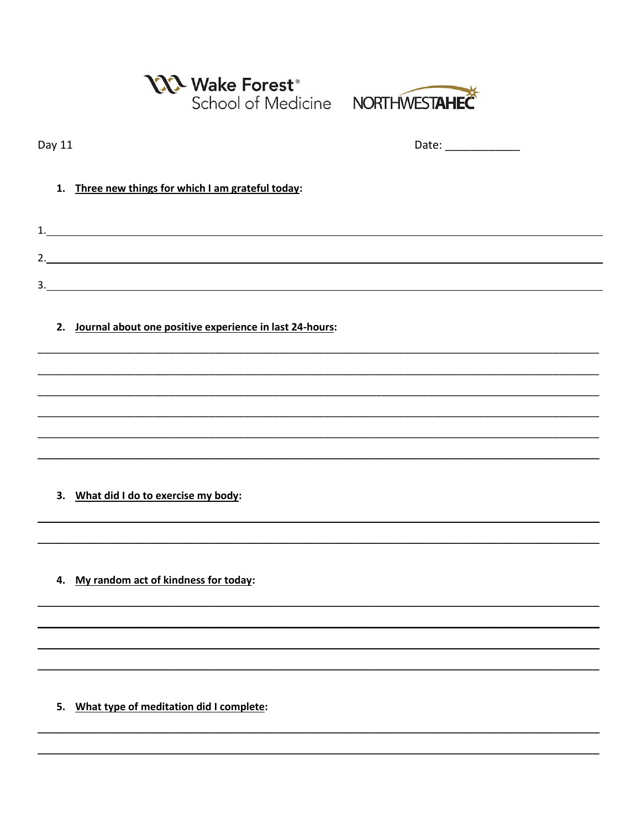|        | <b>N</b> Wake Forest <sup>®</sup><br>School of Medicine NORTHWESTAHEC |                        |  |
|--------|-----------------------------------------------------------------------|------------------------|--|
| Day 11 |                                                                       | Date: ________________ |  |
| 1.     | Three new things for which I am grateful today:                       |                        |  |
|        |                                                                       |                        |  |
|        |                                                                       |                        |  |
|        | 2. Journal about one positive experience in last 24-hours:            |                        |  |
|        |                                                                       |                        |  |
|        |                                                                       |                        |  |
|        |                                                                       |                        |  |
| 3.     | What did I do to exercise my body:                                    |                        |  |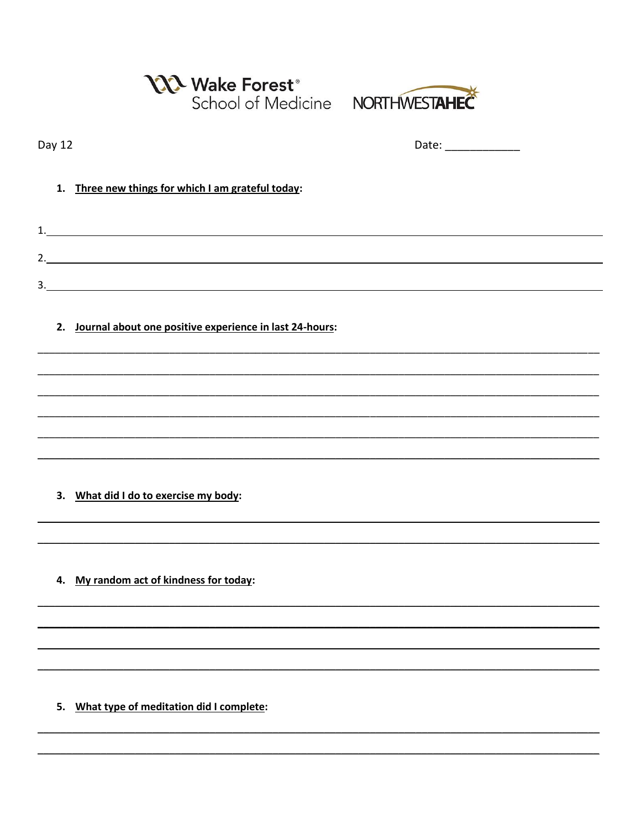|        | Nake Forest <sup>®</sup><br>School of Medicine NORTHWESTAHEC |                      |
|--------|--------------------------------------------------------------|----------------------|
| Day 12 |                                                              | Date: ______________ |
| 1.     | Three new things for which I am grateful today:              |                      |
| 1.     |                                                              |                      |
|        |                                                              |                      |
|        |                                                              |                      |
|        | 2. Journal about one positive experience in last 24-hours:   |                      |
|        |                                                              |                      |
|        |                                                              |                      |
|        |                                                              |                      |
|        |                                                              |                      |
|        | 3. What did I do to exercise my body:                        |                      |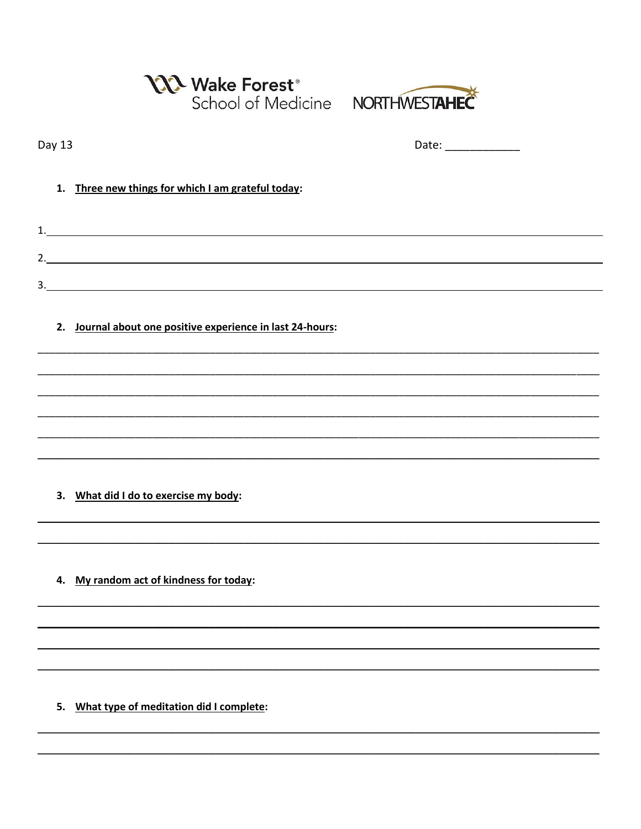|        | Ne Wake Forest <sup>®</sup><br>School of Medicine NORTHWESTAHEC |                      |
|--------|-----------------------------------------------------------------|----------------------|
| Day 13 |                                                                 | Date: ______________ |
| 1.     | Three new things for which I am grateful today:                 |                      |
|        |                                                                 |                      |
|        | 2. $\qquad \qquad$                                              |                      |
|        | 3.                                                              |                      |
|        | 2. Journal about one positive experience in last 24-hours:      |                      |
|        |                                                                 |                      |
|        |                                                                 |                      |
|        |                                                                 |                      |
|        |                                                                 |                      |
| 3.     | What did I do to exercise my body:                              |                      |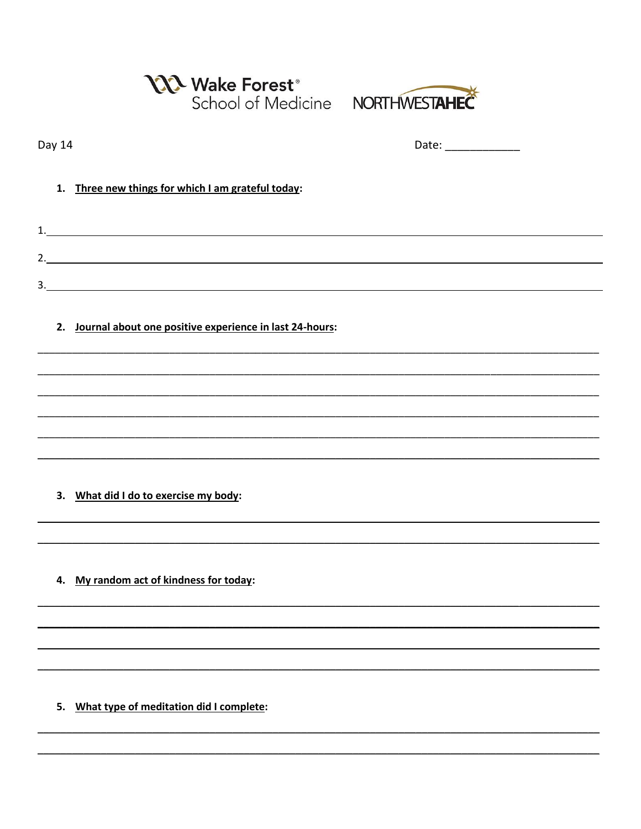|        | N Wake Forest <sup>®</sup><br>School of Medicine NORTHWESTAHEC                                                                                                                                                                       |                                                                                                                                                                                                                                |  |
|--------|--------------------------------------------------------------------------------------------------------------------------------------------------------------------------------------------------------------------------------------|--------------------------------------------------------------------------------------------------------------------------------------------------------------------------------------------------------------------------------|--|
| Day 14 |                                                                                                                                                                                                                                      | Date: the contract of the contract of the contract of the contract of the contract of the contract of the contract of the contract of the contract of the contract of the contract of the contract of the contract of the cont |  |
| 1.     | Three new things for which I am grateful today:                                                                                                                                                                                      |                                                                                                                                                                                                                                |  |
| 1.     | <u> 1989 - Johann John Stone, markin film yn y brening yn y brening yn y brening y brening yn y brening y brenin</u>                                                                                                                 |                                                                                                                                                                                                                                |  |
|        |                                                                                                                                                                                                                                      |                                                                                                                                                                                                                                |  |
|        | 3. <u>In the contract of the contract of the contract of the contract of the contract of the contract of the contract of the contract of the contract of the contract of the contract of the contract of the contract of the con</u> |                                                                                                                                                                                                                                |  |
|        | 2. Journal about one positive experience in last 24-hours:                                                                                                                                                                           |                                                                                                                                                                                                                                |  |
|        |                                                                                                                                                                                                                                      |                                                                                                                                                                                                                                |  |
|        |                                                                                                                                                                                                                                      |                                                                                                                                                                                                                                |  |
|        |                                                                                                                                                                                                                                      |                                                                                                                                                                                                                                |  |
|        |                                                                                                                                                                                                                                      |                                                                                                                                                                                                                                |  |
|        | 3. What did I do to exercise my body:                                                                                                                                                                                                |                                                                                                                                                                                                                                |  |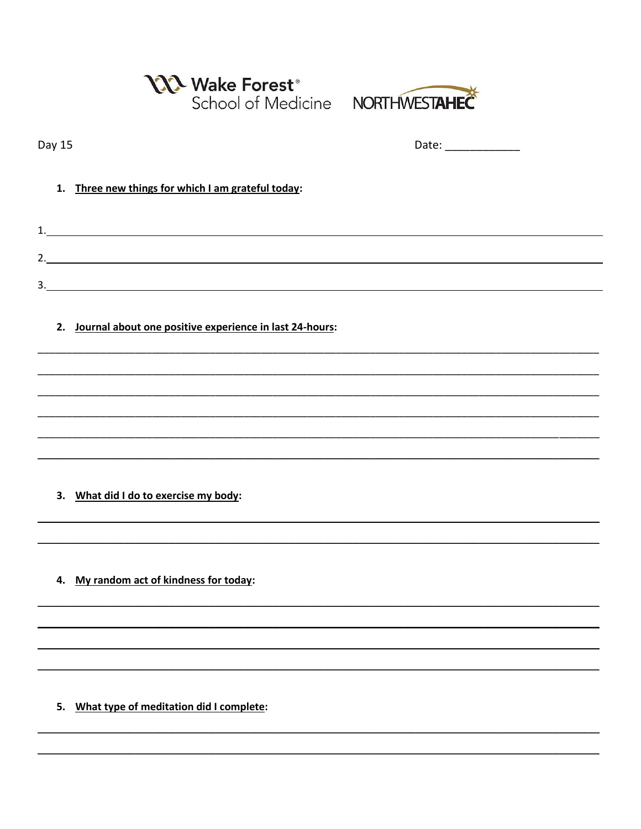|        | <b>N</b> Wake Forest <sup>®</sup><br>School of Medicine NORTHWESTAHEC |                      |
|--------|-----------------------------------------------------------------------|----------------------|
| Day 15 |                                                                       | Date: ______________ |
| 1.     | Three new things for which I am grateful today:                       |                      |
|        |                                                                       |                      |
|        | 2.                                                                    |                      |
|        | 3.                                                                    |                      |
|        | 2. Journal about one positive experience in last 24-hours:            |                      |
|        |                                                                       |                      |
|        |                                                                       |                      |
|        |                                                                       |                      |
|        |                                                                       |                      |
|        |                                                                       |                      |

4. My random act of kindness for today: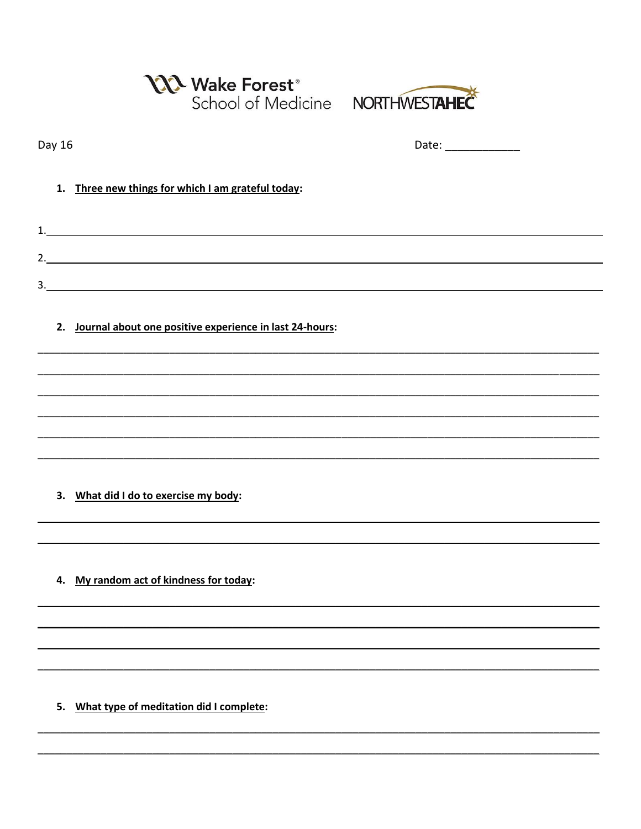|        | <b>N</b> Wake Forest <sup>®</sup><br>School of Medicine NORTHWESTAHEC |                     |  |
|--------|-----------------------------------------------------------------------|---------------------|--|
| Day 16 |                                                                       | Date: _____________ |  |
| 1.     | Three new things for which I am grateful today:                       |                     |  |
|        |                                                                       |                     |  |
|        | 2.                                                                    |                     |  |
|        |                                                                       |                     |  |
| 2.     | Journal about one positive experience in last 24-hours:               |                     |  |
|        |                                                                       |                     |  |
|        |                                                                       |                     |  |
|        |                                                                       |                     |  |
|        |                                                                       |                     |  |

4. My random act of kindness for today: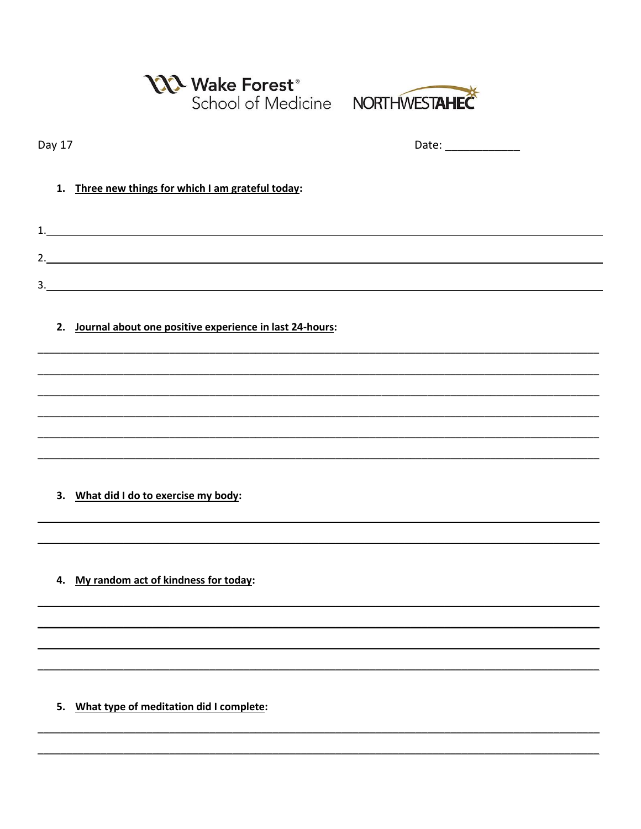|        | N Wake Forest <sup>®</sup><br>School of Medicine NORTHWESTAHEC |                     |  |
|--------|----------------------------------------------------------------|---------------------|--|
| Day 17 |                                                                | Date: _____________ |  |
| 1.     | Three new things for which I am grateful today:                |                     |  |
|        |                                                                |                     |  |
|        | 2.                                                             |                     |  |
|        |                                                                |                     |  |
|        | 2. Journal about one positive experience in last 24-hours:     |                     |  |
|        |                                                                |                     |  |
|        |                                                                |                     |  |
|        |                                                                |                     |  |
|        |                                                                |                     |  |
| 3.     | What did I do to exercise my body:                             |                     |  |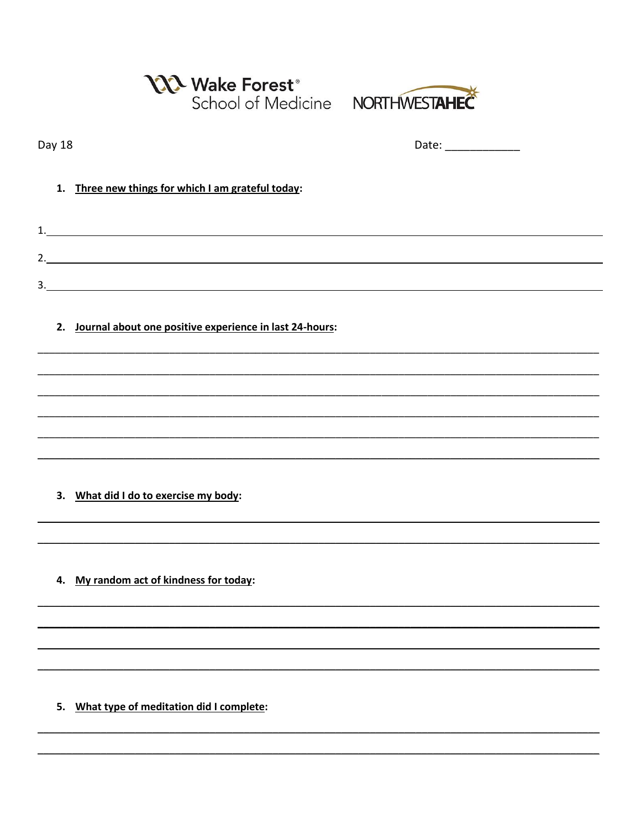|        | <b>N</b> Wake Forest <sup>®</sup><br>School of Medicine NORTHWESTAHEC |                      |
|--------|-----------------------------------------------------------------------|----------------------|
| Day 18 |                                                                       | Date: ______________ |
| 1.     | Three new things for which I am grateful today:                       |                      |
|        |                                                                       |                      |
|        |                                                                       |                      |
|        |                                                                       |                      |
|        | 2. Journal about one positive experience in last 24-hours:            |                      |
|        |                                                                       |                      |
|        |                                                                       |                      |
|        |                                                                       |                      |
|        |                                                                       |                      |
|        |                                                                       |                      |

4. My random act of kindness for today: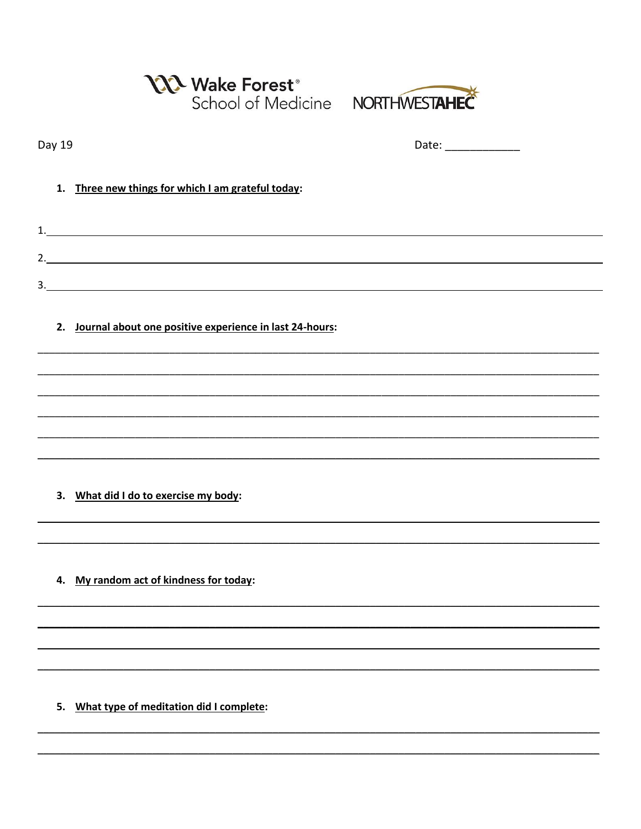|        | <b>NA Wake Forest</b> ®<br>School of Medicine  NORTHWESTAHEC |                     |  |
|--------|--------------------------------------------------------------|---------------------|--|
| Day 19 |                                                              | Date: _____________ |  |
| 1.     | Three new things for which I am grateful today:              |                     |  |
|        |                                                              |                     |  |
|        | 2.                                                           |                     |  |
|        |                                                              |                     |  |
| 2.     | Journal about one positive experience in last 24-hours:      |                     |  |
|        |                                                              |                     |  |
|        |                                                              |                     |  |
|        |                                                              |                     |  |
|        |                                                              |                     |  |

4. My random act of kindness for today: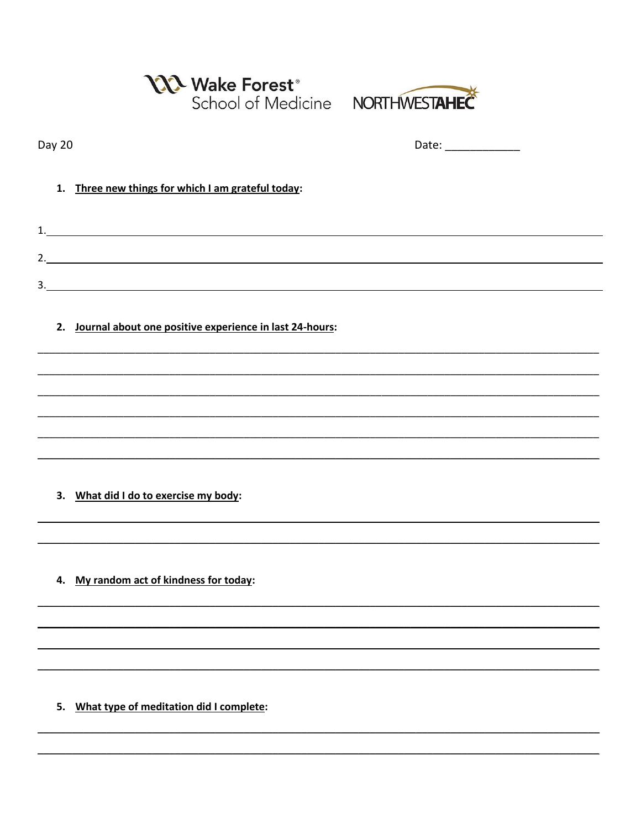|        | <b>122 Wake Forest<sup>®</sup></b><br>School of Medicine NORTHWESTAHEC |                 |  |
|--------|------------------------------------------------------------------------|-----------------|--|
| Day 20 |                                                                        | Date: _________ |  |
| 1.     | Three new things for which I am grateful today:                        |                 |  |
| 1.     | <u> 1980 - Johann Barn, fransk politik (f. 1980)</u>                   |                 |  |
| 2.     | <u> 1980 - Johann Barn, fransk politik (d. 1980)</u>                   |                 |  |
|        | $\overline{\mathbf{3.}}$                                               |                 |  |
| 2.     | Journal about one positive experience in last 24-hours:                |                 |  |
|        |                                                                        |                 |  |

4. My random act of kindness for today: